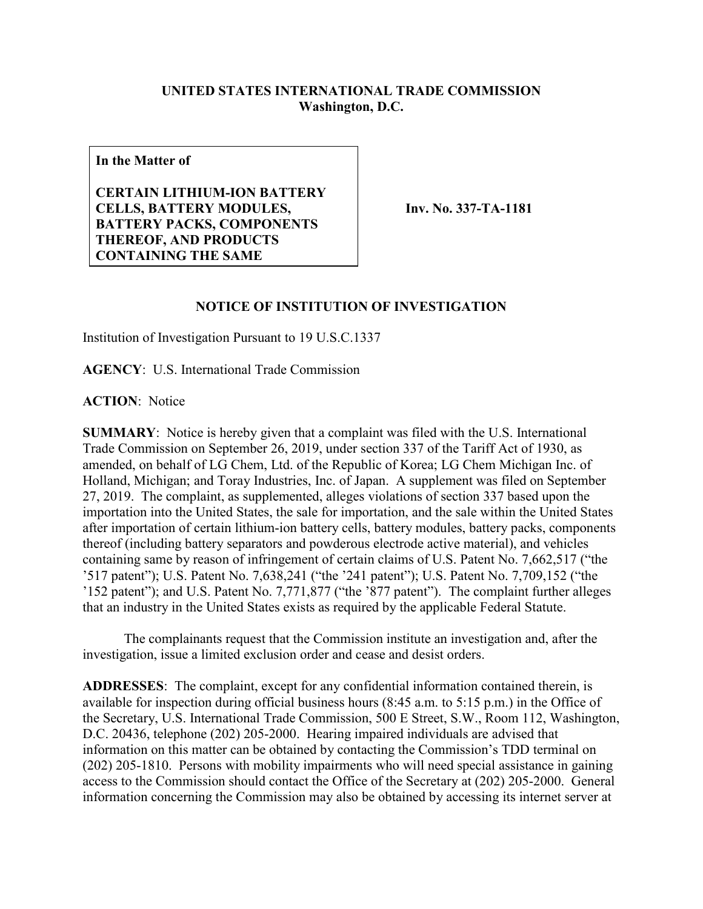## **UNITED STATES INTERNATIONAL TRADE COMMISSION Washington, D.C.**

**In the Matter of**

**CERTAIN LITHIUM-ION BATTERY CELLS, BATTERY MODULES, BATTERY PACKS, COMPONENTS THEREOF, AND PRODUCTS CONTAINING THE SAME**

**Inv. No. 337-TA-1181**

## **NOTICE OF INSTITUTION OF INVESTIGATION**

Institution of Investigation Pursuant to 19 U.S.C.1337

**AGENCY**: U.S. International Trade Commission

**ACTION**: Notice

**SUMMARY**: Notice is hereby given that a complaint was filed with the U.S. International Trade Commission on September 26, 2019, under section 337 of the Tariff Act of 1930, as amended, on behalf of LG Chem, Ltd. of the Republic of Korea; LG Chem Michigan Inc. of Holland, Michigan; and Toray Industries, Inc. of Japan. A supplement was filed on September 27, 2019. The complaint, as supplemented, alleges violations of section 337 based upon the importation into the United States, the sale for importation, and the sale within the United States after importation of certain lithium-ion battery cells, battery modules, battery packs, components thereof (including battery separators and powderous electrode active material), and vehicles containing same by reason of infringement of certain claims of U.S. Patent No. 7,662,517 ("the '517 patent"); U.S. Patent No. 7,638,241 ("the '241 patent"); U.S. Patent No. 7,709,152 ("the '152 patent"); and U.S. Patent No. 7,771,877 ("the '877 patent"). The complaint further alleges that an industry in the United States exists as required by the applicable Federal Statute.

The complainants request that the Commission institute an investigation and, after the investigation, issue a limited exclusion order and cease and desist orders.

**ADDRESSES**: The complaint, except for any confidential information contained therein, is available for inspection during official business hours (8:45 a.m. to 5:15 p.m.) in the Office of the Secretary, U.S. International Trade Commission, 500 E Street, S.W., Room 112, Washington, D.C. 20436, telephone (202) 205-2000. Hearing impaired individuals are advised that information on this matter can be obtained by contacting the Commission's TDD terminal on (202) 205-1810. Persons with mobility impairments who will need special assistance in gaining access to the Commission should contact the Office of the Secretary at (202) 205-2000. General information concerning the Commission may also be obtained by accessing its internet server at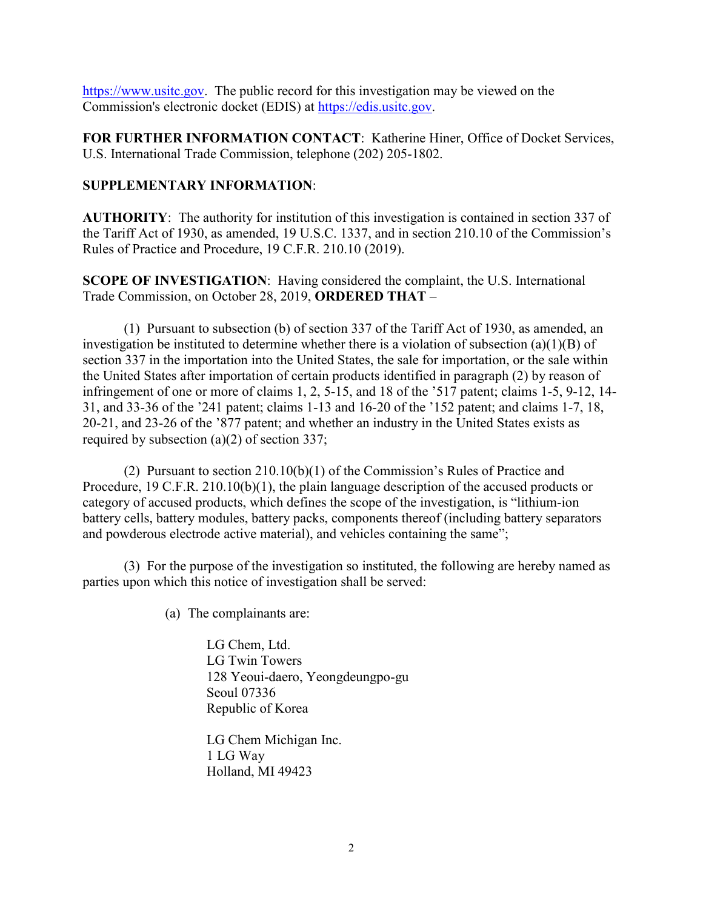[https://www.usitc.gov.](https://www.usitc.gov/) The public record for this investigation may be viewed on the Commission's electronic docket (EDIS) at [https://edis.usitc.gov.](https://edis.usitc.gov/)

**FOR FURTHER INFORMATION CONTACT**: Katherine Hiner, Office of Docket Services, U.S. International Trade Commission, telephone (202) 205-1802.

## **SUPPLEMENTARY INFORMATION**:

**AUTHORITY**: The authority for institution of this investigation is contained in section 337 of the Tariff Act of 1930, as amended, 19 U.S.C. 1337, and in section 210.10 of the Commission's Rules of Practice and Procedure, 19 C.F.R. 210.10 (2019).

**SCOPE OF INVESTIGATION**: Having considered the complaint, the U.S. International Trade Commission, on October 28, 2019, **ORDERED THAT** –

(1) Pursuant to subsection (b) of section 337 of the Tariff Act of 1930, as amended, an investigation be instituted to determine whether there is a violation of subsection (a)(1)(B) of section 337 in the importation into the United States, the sale for importation, or the sale within the United States after importation of certain products identified in paragraph (2) by reason of infringement of one or more of claims 1, 2, 5-15, and 18 of the '517 patent; claims 1-5, 9-12, 14- 31, and 33-36 of the '241 patent; claims 1-13 and 16-20 of the '152 patent; and claims 1-7, 18, 20-21, and 23-26 of the '877 patent; and whether an industry in the United States exists as required by subsection (a)(2) of section 337;

(2) Pursuant to section 210.10(b)(1) of the Commission's Rules of Practice and Procedure, 19 C.F.R. 210.10(b)(1), the plain language description of the accused products or category of accused products, which defines the scope of the investigation, is "lithium-ion battery cells, battery modules, battery packs, components thereof (including battery separators and powderous electrode active material), and vehicles containing the same";

(3) For the purpose of the investigation so instituted, the following are hereby named as parties upon which this notice of investigation shall be served:

(a) The complainants are:

LG Chem, Ltd. LG Twin Towers 128 Yeoui-daero, Yeongdeungpo-gu Seoul 07336 Republic of Korea

LG Chem Michigan Inc. 1 LG Way Holland, MI 49423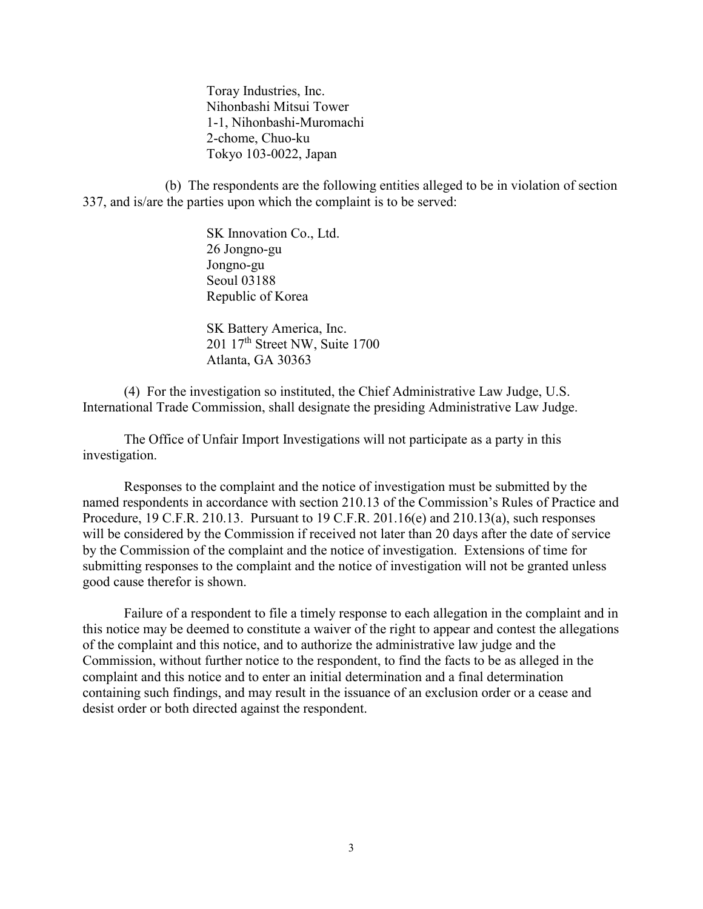Toray Industries, Inc. Nihonbashi Mitsui Tower 1-1, Nihonbashi-Muromachi 2-chome, Chuo-ku Tokyo 103-0022, Japan

(b) The respondents are the following entities alleged to be in violation of section 337, and is/are the parties upon which the complaint is to be served:

> SK Innovation Co., Ltd. 26 Jongno-gu Jongno-gu Seoul 03188 Republic of Korea

SK Battery America, Inc. 201 17th Street NW, Suite 1700 Atlanta, GA 30363

(4) For the investigation so instituted, the Chief Administrative Law Judge, U.S. International Trade Commission, shall designate the presiding Administrative Law Judge.

The Office of Unfair Import Investigations will not participate as a party in this investigation.

Responses to the complaint and the notice of investigation must be submitted by the named respondents in accordance with section 210.13 of the Commission's Rules of Practice and Procedure, 19 C.F.R. 210.13. Pursuant to 19 C.F.R. 201.16(e) and 210.13(a), such responses will be considered by the Commission if received not later than 20 days after the date of service by the Commission of the complaint and the notice of investigation. Extensions of time for submitting responses to the complaint and the notice of investigation will not be granted unless good cause therefor is shown.

Failure of a respondent to file a timely response to each allegation in the complaint and in this notice may be deemed to constitute a waiver of the right to appear and contest the allegations of the complaint and this notice, and to authorize the administrative law judge and the Commission, without further notice to the respondent, to find the facts to be as alleged in the complaint and this notice and to enter an initial determination and a final determination containing such findings, and may result in the issuance of an exclusion order or a cease and desist order or both directed against the respondent.